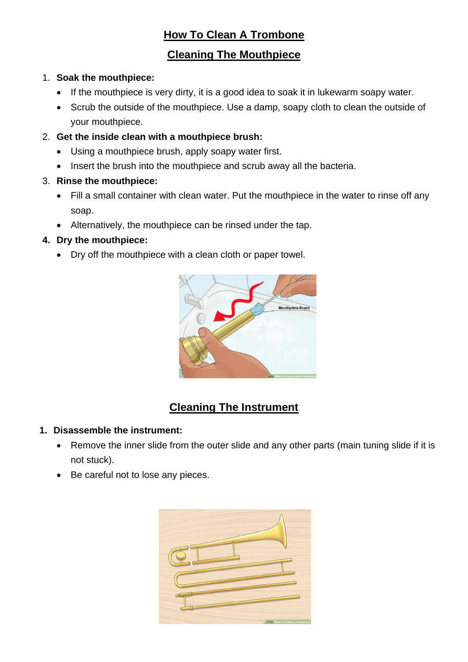## **How To Clean A Trombone**

## **Cleaning The Mouthpiece**

#### 1. **Soak the mouthpiece:**

- If the mouthpiece is very dirty, it is a good idea to soak it in lukewarm soapy water.
- Scrub the outside of the mouthpiece. Use a damp, soapy cloth to clean the outside of your mouthpiece.

#### 2. **Get the inside clean with a mouthpiece brush:**

- Using a mouthpiece brush, apply soapy water first.
- Insert the brush into the mouthpiece and scrub away all the bacteria.
- 3. **Rinse the mouthpiece:**
	- Fill a small container with clean water. Put the mouthpiece in the water to rinse off any soap.
	- Alternatively, the mouthpiece can be rinsed under the tap.

#### **4. Dry the mouthpiece:**

• Dry off the mouthpiece with a clean cloth or paper towel.



## **Cleaning The Instrument**

#### **1. Disassemble the instrument:**

- Remove the inner slide from the outer slide and any other parts (main tuning slide if it is not stuck).
- Be careful not to lose any pieces.